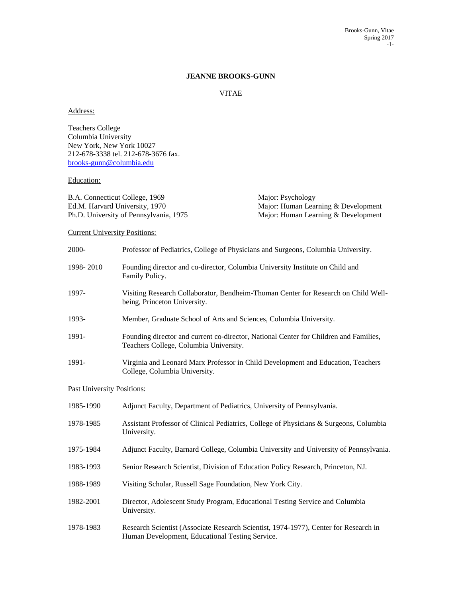## **JEANNE BROOKS-GUNN**

# VITAE

### Address:

Teachers College Columbia University New York, New York 10027 212-678-3338 tel. 212-678-3676 fax. [brooks-gunn@columbia.edu](../AppData/Local/Temp/Desktop/Brooke)

## Education:

B.A. Connecticut College, 1969 Major: Psychology Ph.D. University of Pennsylvania, 1975 Major: Human Learning & Development

Ed.M. Harvard University, 1970 Major: Human Learning & Development

# Current University Positions:

| 2000-                             | Professor of Pediatrics, College of Physicians and Surgeons, Columbia University.                                               |
|-----------------------------------|---------------------------------------------------------------------------------------------------------------------------------|
| 1998-2010                         | Founding director and co-director, Columbia University Institute on Child and<br>Family Policy.                                 |
| 1997-                             | Visiting Research Collaborator, Bendheim-Thoman Center for Research on Child Well-<br>being, Princeton University.              |
| 1993-                             | Member, Graduate School of Arts and Sciences, Columbia University.                                                              |
| 1991-                             | Founding director and current co-director, National Center for Children and Families,<br>Teachers College, Columbia University. |
| 1991-                             | Virginia and Leonard Marx Professor in Child Development and Education, Teachers<br>College, Columbia University.               |
| <b>Past University Positions:</b> |                                                                                                                                 |
| 1985-1990                         | Adjunct Faculty, Department of Pediatrics, University of Pennsylvania.                                                          |
| 1978-1985                         | Assistant Professor of Clinical Pediatrics, College of Physicians & Surgeons, Columbia<br>University.                           |
| 1975-1984                         | Adjunct Faculty, Barnard College, Columbia University and University of Pennsylvania.                                           |
| 1983-1993                         | Senior Research Scientist, Division of Education Policy Research, Princeton, NJ.                                                |
| 1988-1989                         | Visiting Scholar, Russell Sage Foundation, New York City.                                                                       |
| 1982-2001                         | Director, Adolescent Study Program, Educational Testing Service and Columbia                                                    |

- University.
- 1978-1983 Research Scientist (Associate Research Scientist, 1974-1977), Center for Research in Human Development, Educational Testing Service.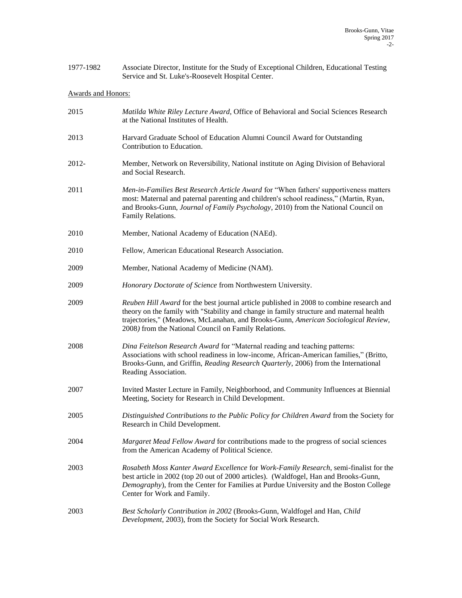| 1977-1982 | Associate Director, Institute for the Study of Exceptional Children, Educational Testing |
|-----------|------------------------------------------------------------------------------------------|
|           | Service and St. Luke's-Roosevelt Hospital Center.                                        |

# Awards and Honors:

| 2015  | Matilda White Riley Lecture Award, Office of Behavioral and Social Sciences Research<br>at the National Institutes of Health.                                                                                                                                                                                                     |
|-------|-----------------------------------------------------------------------------------------------------------------------------------------------------------------------------------------------------------------------------------------------------------------------------------------------------------------------------------|
| 2013  | Harvard Graduate School of Education Alumni Council Award for Outstanding<br>Contribution to Education.                                                                                                                                                                                                                           |
| 2012- | Member, Network on Reversibility, National institute on Aging Division of Behavioral<br>and Social Research.                                                                                                                                                                                                                      |
| 2011  | Men-in-Families Best Research Article Award for "When fathers' supportiveness matters<br>most: Maternal and paternal parenting and children's school readiness," (Martin, Ryan,<br>and Brooks-Gunn, Journal of Family Psychology, 2010) from the National Council on<br>Family Relations.                                         |
| 2010  | Member, National Academy of Education (NAEd).                                                                                                                                                                                                                                                                                     |
| 2010  | Fellow, American Educational Research Association.                                                                                                                                                                                                                                                                                |
| 2009  | Member, National Academy of Medicine (NAM).                                                                                                                                                                                                                                                                                       |
| 2009  | Honorary Doctorate of Science from Northwestern University.                                                                                                                                                                                                                                                                       |
| 2009  | Reuben Hill Award for the best journal article published in 2008 to combine research and<br>theory on the family with "Stability and change in family structure and maternal health<br>trajectories," (Meadows, McLanahan, and Brooks-Gunn, American Sociological Review,<br>2008) from the National Council on Family Relations. |
| 2008  | Dina Feitelson Research Award for "Maternal reading and teaching patterns:<br>Associations with school readiness in low-income, African-American families," (Britto,<br>Brooks-Gunn, and Griffin, Reading Research Quarterly, 2006) from the International<br>Reading Association.                                                |
| 2007  | Invited Master Lecture in Family, Neighborhood, and Community Influences at Biennial<br>Meeting, Society for Research in Child Development.                                                                                                                                                                                       |
| 2005  | Distinguished Contributions to the Public Policy for Children Award from the Society for<br>Research in Child Development.                                                                                                                                                                                                        |
| 2004  | Margaret Mead Fellow Award for contributions made to the progress of social sciences<br>from the American Academy of Political Science.                                                                                                                                                                                           |
| 2003  | Rosabeth Moss Kanter Award Excellence for Work-Family Research, semi-finalist for the<br>best article in 2002 (top 20 out of 2000 articles). (Waldfogel, Han and Brooks-Gunn,<br>Demography), from the Center for Families at Purdue University and the Boston College<br>Center for Work and Family.                             |
| 2003  | Best Scholarly Contribution in 2002 (Brooks-Gunn, Waldfogel and Han, Child<br>Development, 2003), from the Society for Social Work Research.                                                                                                                                                                                      |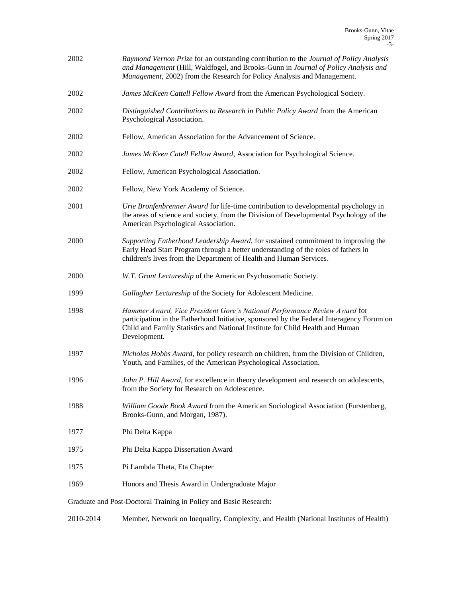| 2002 | Raymond Vernon Prize for an outstanding contribution to the Journal of Policy Analysis<br>and Management (Hill, Waldfogel, and Brooks-Gunn in Journal of Policy Analysis and<br>Management, 2002) from the Research for Policy Analysis and Management.                 |
|------|-------------------------------------------------------------------------------------------------------------------------------------------------------------------------------------------------------------------------------------------------------------------------|
| 2002 | James McKeen Cattell Fellow Award from the American Psychological Society.                                                                                                                                                                                              |
| 2002 | Distinguished Contributions to Research in Public Policy Award from the American<br>Psychological Association.                                                                                                                                                          |
| 2002 | Fellow, American Association for the Advancement of Science.                                                                                                                                                                                                            |
| 2002 | James McKeen Catell Fellow Award, Association for Psychological Science.                                                                                                                                                                                                |
| 2002 | Fellow, American Psychological Association.                                                                                                                                                                                                                             |
| 2002 | Fellow, New York Academy of Science.                                                                                                                                                                                                                                    |
| 2001 | Urie Bronfenbrenner Award for life-time contribution to developmental psychology in<br>the areas of science and society, from the Division of Developmental Psychology of the<br>American Psychological Association.                                                    |
| 2000 | Supporting Fatherhood Leadership Award, for sustained commitment to improving the<br>Early Head Start Program through a better understanding of the roles of fathers in<br>children's lives from the Department of Health and Human Services.                           |
| 2000 | W.T. Grant Lectureship of the American Psychosomatic Society.                                                                                                                                                                                                           |
| 1999 | Gallagher Lectureship of the Society for Adolescent Medicine.                                                                                                                                                                                                           |
| 1998 | Hammer Award, Vice President Gore's National Performance Review Award for<br>participation in the Fatherhood Initiative, sponsored by the Federal Interagency Forum on<br>Child and Family Statistics and National Institute for Child Health and Human<br>Development. |
| 1997 | Nicholas Hobbs Award, for policy research on children, from the Division of Children,<br>Youth, and Families, of the American Psychological Association.                                                                                                                |
| 1996 | John P. Hill Award, for excellence in theory development and research on adolescents,<br>from the Society for Research on Adolescence.                                                                                                                                  |
| 1988 | William Goode Book Award from the American Sociological Association (Furstenberg,<br>Brooks-Gunn, and Morgan, 1987).                                                                                                                                                    |
| 1977 | Phi Delta Kappa                                                                                                                                                                                                                                                         |
| 1975 | Phi Delta Kappa Dissertation Award                                                                                                                                                                                                                                      |
| 1975 | Pi Lambda Theta, Eta Chapter                                                                                                                                                                                                                                            |
| 1969 | Honors and Thesis Award in Undergraduate Major                                                                                                                                                                                                                          |
|      | Graduate and Post-Doctoral Training in Policy and Basic Research:                                                                                                                                                                                                       |
|      |                                                                                                                                                                                                                                                                         |

2010-2014 Member, Network on Inequality, Complexity, and Health (National Institutes of Health)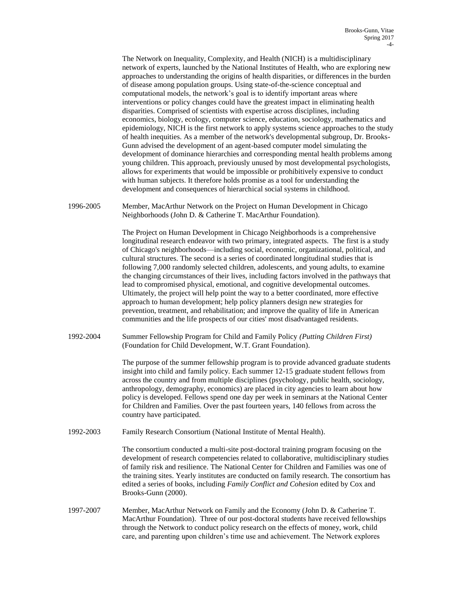The Network on Inequality, Complexity, and Health (NICH) is a multidisciplinary network of experts, launched by the National Institutes of Health, who are exploring new approaches to understanding the origins of health disparities, or differences in the burden of disease among population groups. Using state-of-the-science conceptual and computational models, the network's goal is to identify important areas where interventions or policy changes could have the greatest impact in eliminating health disparities. Comprised of scientists with expertise across disciplines, including economics, biology, ecology, computer science, education, sociology, mathematics and epidemiology, NICH is the first network to apply systems science approaches to the study of health inequities. As a member of the network's developmental subgroup, Dr. Brooks-Gunn advised the development of an agent-based computer model simulating the development of dominance hierarchies and corresponding mental health problems among young children. This approach, previously unused by most developmental psychologists, allows for experiments that would be impossible or prohibitively expensive to conduct with human subjects. It therefore holds promise as a tool for understanding the development and consequences of hierarchical social systems in childhood.

1996-2005 Member, MacArthur Network on the Project on Human Development in Chicago Neighborhoods (John D. & Catherine T. MacArthur Foundation).

> The Project on Human Development in Chicago Neighborhoods is a comprehensive longitudinal research endeavor with two primary, integrated aspects. The first is a study of Chicago's neighborhoods—including social, economic, organizational, political, and cultural structures. The second is a series of coordinated longitudinal studies that is following 7,000 randomly selected children, adolescents, and young adults, to examine the changing circumstances of their lives, including factors involved in the pathways that lead to compromised physical, emotional, and cognitive developmental outcomes. Ultimately, the project will help point the way to a better coordinated, more effective approach to human development; help policy planners design new strategies for prevention, treatment, and rehabilitation; and improve the quality of life in American communities and the life prospects of our cities' most disadvantaged residents.

1992-2004 Summer Fellowship Program for Child and Family Policy *(Putting Children First)* (Foundation for Child Development, W.T. Grant Foundation).

> The purpose of the summer fellowship program is to provide advanced graduate students insight into child and family policy. Each summer 12-15 graduate student fellows from across the country and from multiple disciplines (psychology, public health, sociology, anthropology, demography, economics) are placed in city agencies to learn about how policy is developed. Fellows spend one day per week in seminars at the National Center for Children and Families. Over the past fourteen years, 140 fellows from across the country have participated.

1992-2003 Family Research Consortium (National Institute of Mental Health).

The consortium conducted a multi-site post-doctoral training program focusing on the development of research competencies related to collaborative, multidisciplinary studies of family risk and resilience. The National Center for Children and Families was one of the training sites. Yearly institutes are conducted on family research. The consortium has edited a series of books, including *Family Conflict and Cohesion* edited by Cox and Brooks-Gunn (2000).

1997-2007 Member, MacArthur Network on Family and the Economy (John D. & Catherine T. MacArthur Foundation). Three of our post-doctoral students have received fellowships through the Network to conduct policy research on the effects of money, work, child care, and parenting upon children's time use and achievement. The Network explores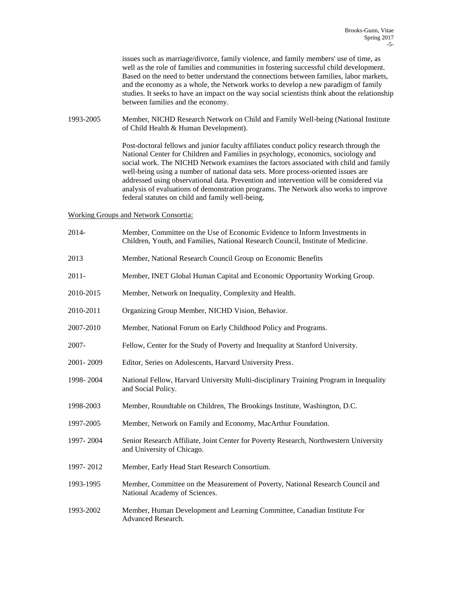issues such as marriage/divorce, family violence, and family members' use of time, as well as the role of families and communities in fostering successful child development. Based on the need to better understand the connections between families, labor markets, and the economy as a whole, the Network works to develop a new paradigm of family studies. It seeks to have an impact on the way social scientists think about the relationship between families and the economy.

1993-2005 Member, NICHD Research Network on Child and Family Well-being (National Institute of Child Health & Human Development).

> Post-doctoral fellows and junior faculty affiliates conduct policy research through the National Center for Children and Families in psychology, economics, sociology and social work. The NICHD Network examines the factors associated with child and family well-being using a number of national data sets. More process-oriented issues are addressed using observational data. Prevention and intervention will be considered via analysis of evaluations of demonstration programs. The Network also works to improve federal statutes on child and family well-being.

### Working Groups and Network Consortia:

| 2014-     | Member, Committee on the Use of Economic Evidence to Inform Investments in<br>Children, Youth, and Families, National Research Council, Institute of Medicine. |
|-----------|----------------------------------------------------------------------------------------------------------------------------------------------------------------|
| 2013      | Member, National Research Council Group on Economic Benefits                                                                                                   |
| $2011 -$  | Member, INET Global Human Capital and Economic Opportunity Working Group.                                                                                      |
| 2010-2015 | Member, Network on Inequality, Complexity and Health.                                                                                                          |
| 2010-2011 | Organizing Group Member, NICHD Vision, Behavior.                                                                                                               |
| 2007-2010 | Member, National Forum on Early Childhood Policy and Programs.                                                                                                 |
| 2007-     | Fellow, Center for the Study of Poverty and Inequality at Stanford University.                                                                                 |
| 2001-2009 | Editor, Series on Adolescents, Harvard University Press.                                                                                                       |
| 1998-2004 | National Fellow, Harvard University Multi-disciplinary Training Program in Inequality<br>and Social Policy.                                                    |
| 1998-2003 | Member, Roundtable on Children, The Brookings Institute, Washington, D.C.                                                                                      |
| 1997-2005 | Member, Network on Family and Economy, MacArthur Foundation.                                                                                                   |
| 1997-2004 | Senior Research Affiliate, Joint Center for Poverty Research, Northwestern University<br>and University of Chicago.                                            |
| 1997-2012 | Member, Early Head Start Research Consortium.                                                                                                                  |
| 1993-1995 | Member, Committee on the Measurement of Poverty, National Research Council and<br>National Academy of Sciences.                                                |
| 1993-2002 | Member, Human Development and Learning Committee, Canadian Institute For<br>Advanced Research.                                                                 |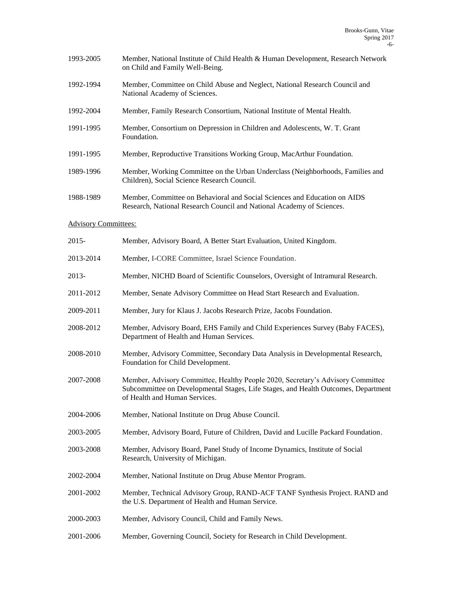| 1993-2005 | Member, National Institute of Child Health & Human Development, Research Network |
|-----------|----------------------------------------------------------------------------------|
|           | on Child and Family Well-Being.                                                  |

- 1992-1994 Member, Committee on Child Abuse and Neglect, National Research Council and National Academy of Sciences.
- 1992-2004 Member, Family Research Consortium, National Institute of Mental Health.
- 1991-1995 Member, Consortium on Depression in Children and Adolescents, W. T. Grant Foundation.
- 1991-1995 Member, Reproductive Transitions Working Group, MacArthur Foundation.
- 1989-1996 Member, Working Committee on the Urban Underclass (Neighborhoods, Families and Children), Social Science Research Council.
- 1988-1989 Member, Committee on Behavioral and Social Sciences and Education on AIDS Research, National Research Council and National Academy of Sciences.
- Advisory Committees:

| $2015 -$  | Member, Advisory Board, A Better Start Evaluation, United Kingdom.                                                                                                                                     |
|-----------|--------------------------------------------------------------------------------------------------------------------------------------------------------------------------------------------------------|
| 2013-2014 | Member, I-CORE Committee, Israel Science Foundation.                                                                                                                                                   |
| 2013-     | Member, NICHD Board of Scientific Counselors, Oversight of Intramural Research.                                                                                                                        |
| 2011-2012 | Member, Senate Advisory Committee on Head Start Research and Evaluation.                                                                                                                               |
| 2009-2011 | Member, Jury for Klaus J. Jacobs Research Prize, Jacobs Foundation.                                                                                                                                    |
| 2008-2012 | Member, Advisory Board, EHS Family and Child Experiences Survey (Baby FACES),<br>Department of Health and Human Services.                                                                              |
| 2008-2010 | Member, Advisory Committee, Secondary Data Analysis in Developmental Research,<br>Foundation for Child Development.                                                                                    |
| 2007-2008 | Member, Advisory Committee, Healthy People 2020, Secretary's Advisory Committee<br>Subcommittee on Developmental Stages, Life Stages, and Health Outcomes, Department<br>of Health and Human Services. |
| 2004-2006 | Member, National Institute on Drug Abuse Council.                                                                                                                                                      |
| 2003-2005 | Member, Advisory Board, Future of Children, David and Lucille Packard Foundation.                                                                                                                      |
| 2003-2008 | Member, Advisory Board, Panel Study of Income Dynamics, Institute of Social<br>Research, University of Michigan.                                                                                       |
| 2002-2004 | Member, National Institute on Drug Abuse Mentor Program.                                                                                                                                               |
| 2001-2002 | Member, Technical Advisory Group, RAND-ACF TANF Synthesis Project. RAND and<br>the U.S. Department of Health and Human Service.                                                                        |
| 2000-2003 | Member, Advisory Council, Child and Family News.                                                                                                                                                       |
| 2001-2006 | Member, Governing Council, Society for Research in Child Development.                                                                                                                                  |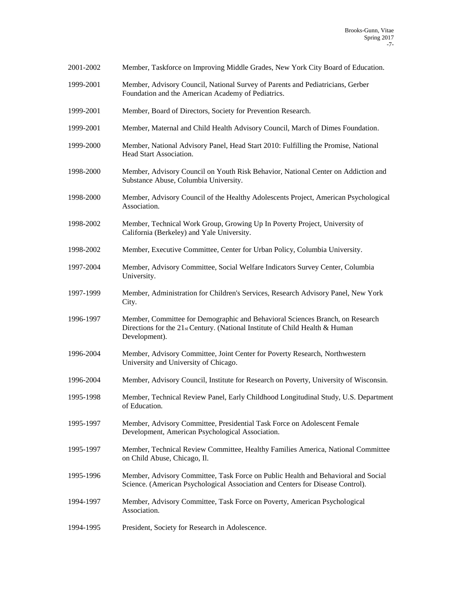| 2001-2002 | Member, Taskforce on Improving Middle Grades, New York City Board of Education.                                                                                                |
|-----------|--------------------------------------------------------------------------------------------------------------------------------------------------------------------------------|
| 1999-2001 | Member, Advisory Council, National Survey of Parents and Pediatricians, Gerber<br>Foundation and the American Academy of Pediatrics.                                           |
| 1999-2001 | Member, Board of Directors, Society for Prevention Research.                                                                                                                   |
| 1999-2001 | Member, Maternal and Child Health Advisory Council, March of Dimes Foundation.                                                                                                 |
| 1999-2000 | Member, National Advisory Panel, Head Start 2010: Fulfilling the Promise, National<br>Head Start Association.                                                                  |
| 1998-2000 | Member, Advisory Council on Youth Risk Behavior, National Center on Addiction and<br>Substance Abuse, Columbia University.                                                     |
| 1998-2000 | Member, Advisory Council of the Healthy Adolescents Project, American Psychological<br>Association.                                                                            |
| 1998-2002 | Member, Technical Work Group, Growing Up In Poverty Project, University of<br>California (Berkeley) and Yale University.                                                       |
| 1998-2002 | Member, Executive Committee, Center for Urban Policy, Columbia University.                                                                                                     |
| 1997-2004 | Member, Advisory Committee, Social Welfare Indicators Survey Center, Columbia<br>University.                                                                                   |
| 1997-1999 | Member, Administration for Children's Services, Research Advisory Panel, New York<br>City.                                                                                     |
| 1996-1997 | Member, Committee for Demographic and Behavioral Sciences Branch, on Research<br>Directions for the 21st Century. (National Institute of Child Health & Human<br>Development). |
| 1996-2004 | Member, Advisory Committee, Joint Center for Poverty Research, Northwestern<br>University and University of Chicago.                                                           |
| 1996-2004 | Member, Advisory Council, Institute for Research on Poverty, University of Wisconsin.                                                                                          |
| 1995-1998 | Member, Technical Review Panel, Early Childhood Longitudinal Study, U.S. Department<br>of Education.                                                                           |
| 1995-1997 | Member, Advisory Committee, Presidential Task Force on Adolescent Female<br>Development, American Psychological Association.                                                   |
| 1995-1997 | Member, Technical Review Committee, Healthy Families America, National Committee<br>on Child Abuse, Chicago, Il.                                                               |
| 1995-1996 | Member, Advisory Committee, Task Force on Public Health and Behavioral and Social<br>Science. (American Psychological Association and Centers for Disease Control).            |
| 1994-1997 | Member, Advisory Committee, Task Force on Poverty, American Psychological<br>Association.                                                                                      |
| 1994-1995 | President, Society for Research in Adolescence.                                                                                                                                |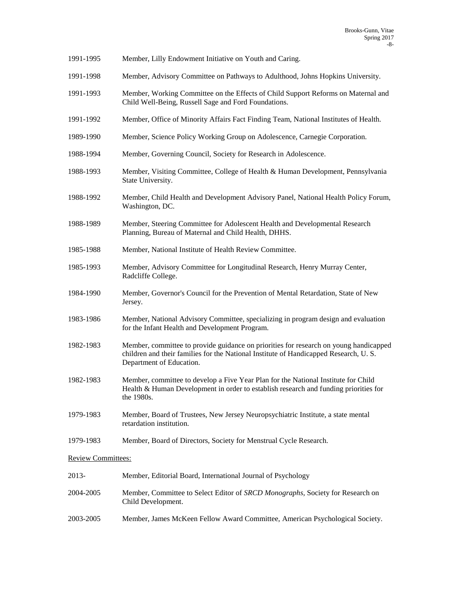- 1991-1995 Member, Lilly Endowment Initiative on Youth and Caring.
- 1991-1998 Member, Advisory Committee on Pathways to Adulthood, Johns Hopkins University.
- 1991-1993 Member, Working Committee on the Effects of Child Support Reforms on Maternal and Child Well-Being, Russell Sage and Ford Foundations.
- 1991-1992 Member, Office of Minority Affairs Fact Finding Team, National Institutes of Health.
- 1989-1990 Member, Science Policy Working Group on Adolescence, Carnegie Corporation.
- 1988-1994 Member, Governing Council, Society for Research in Adolescence.
- 1988-1993 Member, Visiting Committee, College of Health & Human Development, Pennsylvania State University.
- 1988-1992 Member, Child Health and Development Advisory Panel, National Health Policy Forum, Washington, DC.
- 1988-1989 Member, Steering Committee for Adolescent Health and Developmental Research Planning, Bureau of Maternal and Child Health, DHHS.
- 1985-1988 Member, National Institute of Health Review Committee.
- 1985-1993 Member, Advisory Committee for Longitudinal Research, Henry Murray Center, Radcliffe College.
- 1984-1990 Member, Governor's Council for the Prevention of Mental Retardation, State of New Jersey.
- 1983-1986 Member, National Advisory Committee, specializing in program design and evaluation for the Infant Health and Development Program.
- 1982-1983 Member, committee to provide guidance on priorities for research on young handicapped children and their families for the National Institute of Handicapped Research, U. S. Department of Education.
- 1982-1983 Member, committee to develop a Five Year Plan for the National Institute for Child Health & Human Development in order to establish research and funding priorities for the 1980s.
- 1979-1983 Member, Board of Trustees, New Jersey Neuropsychiatric Institute, a state mental retardation institution.
- 1979-1983 Member, Board of Directors, Society for Menstrual Cycle Research.

Review Committees:

| 2013-     | Member, Editorial Board, International Journal of Psychology                                                 |
|-----------|--------------------------------------------------------------------------------------------------------------|
| 2004-2005 | Member, Committee to Select Editor of <i>SRCD Monographs</i> , Society for Research on<br>Child Development. |
| 2003-2005 | Member, James McKeen Fellow Award Committee, American Psychological Society.                                 |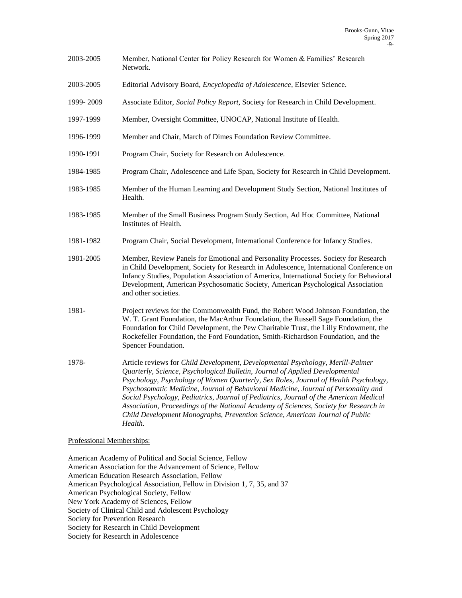- 2003-2005 Member, National Center for Policy Research for Women & Families' Research Network.
- 2003-2005 Editorial Advisory Board, *Encyclopedia of Adolescence*, Elsevier Science.
- 1999- 2009 Associate Editor, *Social Policy Report*, Society for Research in Child Development.
- 1997-1999 Member, Oversight Committee, UNOCAP, National Institute of Health.
- 1996-1999 Member and Chair, March of Dimes Foundation Review Committee.
- 1990-1991 Program Chair, Society for Research on Adolescence.
- 1984-1985 Program Chair, Adolescence and Life Span, Society for Research in Child Development.
- 1983-1985 Member of the Human Learning and Development Study Section, National Institutes of Health.
- 1983-1985 Member of the Small Business Program Study Section, Ad Hoc Committee, National Institutes of Health.
- 1981-1982 Program Chair, Social Development, International Conference for Infancy Studies.
- 1981-2005 Member, Review Panels for Emotional and Personality Processes. Society for Research in Child Development, Society for Research in Adolescence, International Conference on Infancy Studies, Population Association of America, International Society for Behavioral Development, American Psychosomatic Society, American Psychological Association and other societies.
- 1981- Project reviews for the Commonwealth Fund, the Robert Wood Johnson Foundation, the W. T. Grant Foundation, the MacArthur Foundation, the Russell Sage Foundation, the Foundation for Child Development, the Pew Charitable Trust, the Lilly Endowment, the Rockefeller Foundation, the Ford Foundation, Smith-Richardson Foundation, and the Spencer Foundation.
- 1978- Article reviews for *Child Development, Developmental Psychology, Merill-Palmer Quarterly, Science, Psychological Bulletin, Journal of Applied Developmental Psychology, Psychology of Women Quarterly, Sex Roles, Journal of Health Psychology, Psychosomatic Medicine, Journal of Behavioral Medicine, Journal of Personality and Social Psychology, Pediatrics, Journal of Pediatrics, Journal of the American Medical Association, Proceedings of the National Academy of Sciences, Society for Research in Child Development Monographs, Prevention Science, American Journal of Public Health.*

Professional Memberships:

American Academy of Political and Social Science, Fellow American Association for the Advancement of Science, Fellow American Education Research Association, Fellow American Psychological Association, Fellow in Division 1, 7, 35, and 37 American Psychological Society, Fellow New York Academy of Sciences, Fellow Society of Clinical Child and Adolescent Psychology Society for Prevention Research Society for Research in Child Development Society for Research in Adolescence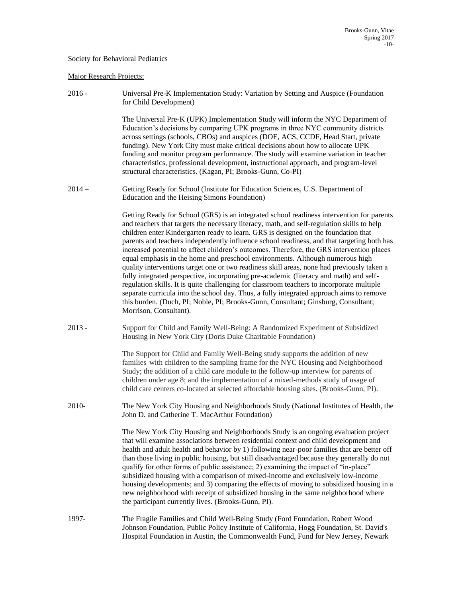### Society for Behavioral Pediatrics

### Major Research Projects:

2016 - Universal Pre-K Implementation Study: Variation by Setting and Auspice (Foundation for Child Development)

> The Universal Pre-K (UPK) Implementation Study will inform the NYC Department of Education's decisions by comparing UPK programs in three NYC community districts across settings (schools, CBOs) and auspices (DOE, ACS, CCDF, Head Start, private funding). New York City must make critical decisions about how to allocate UPK funding and monitor program performance. The study will examine variation in teacher characteristics, professional development, instructional approach, and program-level structural characteristics. (Kagan, PI; Brooks-Gunn, Co-PI)

2014 – Getting Ready for School (Institute for Education Sciences, U.S. Department of Education and the Heising Simons Foundation)

> Getting Ready for School (GRS) is an integrated school readiness intervention for parents and teachers that targets the necessary literacy, math, and self-regulation skills to help children enter Kindergarten ready to learn. GRS is designed on the foundation that parents and teachers independently influence school readiness, and that targeting both has increased potential to affect children's outcomes. Therefore, the GRS intervention places equal emphasis in the home and preschool environments. Although numerous high quality interventions target one or two readiness skill areas, none had previously taken a fully integrated perspective, incorporating pre-academic (literacy and math) and selfregulation skills. It is quite challenging for classroom teachers to incorporate multiple separate curricula into the school day. Thus, a fully integrated approach aims to remove this burden. (Duch, PI; Noble, PI; Brooks-Gunn, Consultant; Ginsburg, Consultant; Morrison, Consultant).

2013 - Support for Child and Family Well-Being: A Randomized Experiment of Subsidized Housing in New York City (Doris Duke Charitable Foundation)

> The Support for Child and Family Well-Being study supports the addition of new families with children to the sampling frame for the NYC Housing and Neighborhood Study; the addition of a child care module to the follow-up interview for parents of children under age 8; and the implementation of a mixed-methods study of usage of child care centers co-located at selected affordable housing sites. (Brooks-Gunn, PI).

2010- The New York City Housing and Neighborhoods Study (National Institutes of Health, the John D. and Catherine T. MacArthur Foundation)

> The New York City Housing and Neighborhoods Study is an ongoing evaluation project that will examine associations between residential context and child development and health and adult health and behavior by 1) following near-poor families that are better off than those living in public housing, but still disadvantaged because they generally do not qualify for other forms of public assistance; 2) examining the impact of "in-place" subsidized housing with a comparison of mixed-income and exclusively low-income housing developments; and 3) comparing the effects of moving to subsidized housing in a new neighborhood with receipt of subsidized housing in the same neighborhood where the participant currently lives. (Brooks-Gunn, PI).

1997- The Fragile Families and Child Well-Being Study (Ford Foundation, Robert Wood Johnson Foundation, Public Policy Institute of California, Hogg Foundation, St. David's Hospital Foundation in Austin, the Commonwealth Fund, Fund for New Jersey, Newark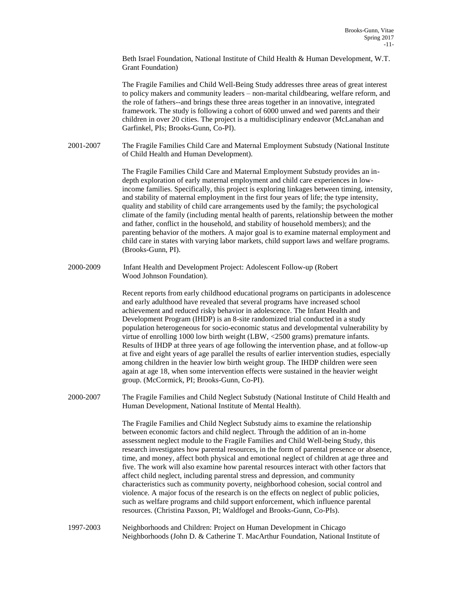Beth Israel Foundation, National Institute of Child Health & Human Development, W.T. Grant Foundation)

The Fragile Families and Child Well-Being Study addresses three areas of great interest to policy makers and community leaders – non-marital childbearing, welfare reform, and the role of fathers--and brings these three areas together in an innovative, integrated framework. The study is following a cohort of 6000 unwed and wed parents and their children in over 20 cities. The project is a multidisciplinary endeavor (McLanahan and Garfinkel, PIs; Brooks-Gunn, Co-PI).

2001-2007 The Fragile Families Child Care and Maternal Employment Substudy (National Institute of Child Health and Human Development).

> The Fragile Families Child Care and Maternal Employment Substudy provides an indepth exploration of early maternal employment and child care experiences in lowincome families. Specifically, this project is exploring linkages between timing, intensity, and stability of maternal employment in the first four years of life; the type intensity, quality and stability of child care arrangements used by the family; the psychological climate of the family (including mental health of parents, relationship between the mother and father, conflict in the household, and stability of household members); and the parenting behavior of the mothers. A major goal is to examine maternal employment and child care in states with varying labor markets, child support laws and welfare programs. (Brooks-Gunn, PI).

2000-2009 Infant Health and Development Project: Adolescent Follow-up (Robert Wood Johnson Foundation).

> Recent reports from early childhood educational programs on participants in adolescence and early adulthood have revealed that several programs have increased school achievement and reduced risky behavior in adolescence. The Infant Health and Development Program (IHDP) is an 8-site randomized trial conducted in a study population heterogeneous for socio-economic status and developmental vulnerability by virtue of enrolling 1000 low birth weight (LBW, <2500 grams) premature infants. Results of IHDP at three years of age following the intervention phase, and at follow-up at five and eight years of age parallel the results of earlier intervention studies, especially among children in the heavier low birth weight group. The IHDP children were seen again at age 18, when some intervention effects were sustained in the heavier weight group. (McCormick, PI; Brooks-Gunn, Co-PI).

2000-2007 The Fragile Families and Child Neglect Substudy (National Institute of Child Health and Human Development, National Institute of Mental Health).

> The Fragile Families and Child Neglect Substudy aims to examine the relationship between economic factors and child neglect. Through the addition of an in-home assessment neglect module to the Fragile Families and Child Well-being Study, this research investigates how parental resources, in the form of parental presence or absence, time, and money, affect both physical and emotional neglect of children at age three and five. The work will also examine how parental resources interact with other factors that affect child neglect, including parental stress and depression, and community characteristics such as community poverty, neighborhood cohesion, social control and violence. A major focus of the research is on the effects on neglect of public policies, such as welfare programs and child support enforcement, which influence parental resources. (Christina Paxson, PI; Waldfogel and Brooks-Gunn, Co-PIs).

1997-2003 Neighborhoods and Children: Project on Human Development in Chicago Neighborhoods (John D. & Catherine T. MacArthur Foundation, National Institute of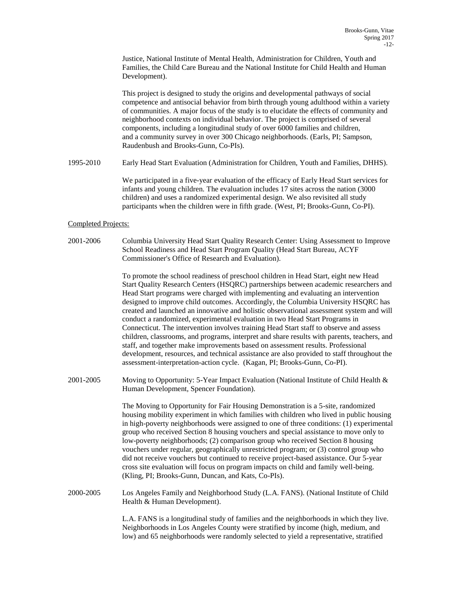Justice, National Institute of Mental Health, Administration for Children, Youth and Families, the Child Care Bureau and the National Institute for Child Health and Human Development).

This project is designed to study the origins and developmental pathways of social competence and antisocial behavior from birth through young adulthood within a variety of communities. A major focus of the study is to elucidate the effects of community and neighborhood contexts on individual behavior. The project is comprised of several components, including a longitudinal study of over 6000 families and children, and a community survey in over 300 Chicago neighborhoods. (Earls, PI; Sampson, Raudenbush and Brooks-Gunn, Co-PIs).

1995-2010 Early Head Start Evaluation (Administration for Children, Youth and Families, DHHS).

We participated in a five-year evaluation of the efficacy of Early Head Start services for infants and young children. The evaluation includes 17 sites across the nation (3000 children) and uses a randomized experimental design. We also revisited all study participants when the children were in fifth grade. (West, PI; Brooks-Gunn, Co-PI).

### Completed Projects:

2001-2006 Columbia University Head Start Quality Research Center: Using Assessment to Improve School Readiness and Head Start Program Quality (Head Start Bureau, ACYF Commissioner's Office of Research and Evaluation).

> To promote the school readiness of preschool children in Head Start, eight new Head Start Quality Research Centers (HSQRC) partnerships between academic researchers and Head Start programs were charged with implementing and evaluating an intervention designed to improve child outcomes. Accordingly, the Columbia University HSQRC has created and launched an innovative and holistic observational assessment system and will conduct a randomized, experimental evaluation in two Head Start Programs in Connecticut. The intervention involves training Head Start staff to observe and assess children, classrooms, and programs, interpret and share results with parents, teachers, and staff, and together make improvements based on assessment results. Professional development, resources, and technical assistance are also provided to staff throughout the assessment-interpretation-action cycle. (Kagan, PI; Brooks-Gunn, Co-PI).

2001-2005 Moving to Opportunity: 5-Year Impact Evaluation (National Institute of Child Health & Human Development, Spencer Foundation).

> The Moving to Opportunity for Fair Housing Demonstration is a 5-site, randomized housing mobility experiment in which families with children who lived in public housing in high-poverty neighborhoods were assigned to one of three conditions: (1) experimental group who received Section 8 housing vouchers and special assistance to move only to low-poverty neighborhoods; (2) comparison group who received Section 8 housing vouchers under regular, geographically unrestricted program; or (3) control group who did not receive vouchers but continued to receive project-based assistance. Our 5-year cross site evaluation will focus on program impacts on child and family well-being. (Kling, PI; Brooks-Gunn, Duncan, and Kats, Co-PIs).

2000-2005 Los Angeles Family and Neighborhood Study (L.A. FANS). (National Institute of Child Health & Human Development).

> L.A. FANS is a longitudinal study of families and the neighborhoods in which they live. Neighborhoods in Los Angeles County were stratified by income (high, medium, and low) and 65 neighborhoods were randomly selected to yield a representative, stratified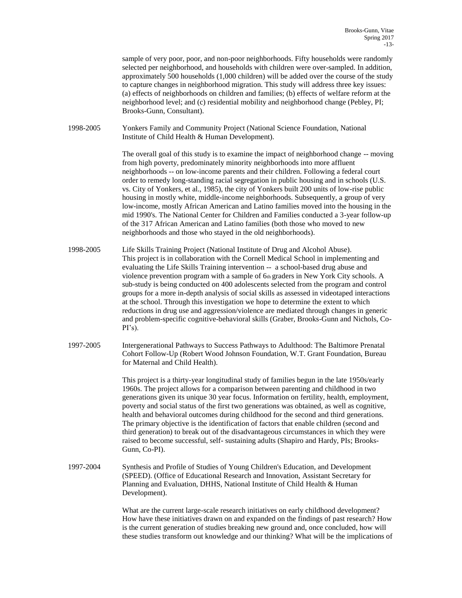sample of very poor, poor, and non-poor neighborhoods. Fifty households were randomly selected per neighborhood, and households with children were over-sampled. In addition, approximately 500 households (1,000 children) will be added over the course of the study to capture changes in neighborhood migration. This study will address three key issues: (a) effects of neighborhoods on children and families; (b) effects of welfare reform at the neighborhood level; and (c) residential mobility and neighborhood change (Pebley, PI; Brooks-Gunn, Consultant). 1998-2005 Yonkers Family and Community Project (National Science Foundation, National Institute of Child Health & Human Development). The overall goal of this study is to examine the impact of neighborhood change -- moving from high poverty, predominately minority neighborhoods into more affluent neighborhoods -- on low-income parents and their children. Following a federal court order to remedy long-standing racial segregation in public housing and in schools (U.S. vs. City of Yonkers, et al., 1985), the city of Yonkers built 200 units of low-rise public housing in mostly white, middle-income neighborhoods. Subsequently, a group of very low-income, mostly African American and Latino families moved into the housing in the mid 1990's. The National Center for Children and Families conducted a 3-year follow-up of the 317 African American and Latino families (both those who moved to new neighborhoods and those who stayed in the old neighborhoods). 1998-2005 Life Skills Training Project (National Institute of Drug and Alcohol Abuse). This project is in collaboration with the Cornell Medical School in implementing and evaluating the Life Skills Training intervention -- a school-based drug abuse and violence prevention program with a sample of 6th graders in New York City schools. A sub-study is being conducted on 400 adolescents selected from the program and control groups for a more in-depth analysis of social skills as assessed in videotaped interactions at the school. Through this investigation we hope to determine the extent to which reductions in drug use and aggression/violence are mediated through changes in generic and problem-specific cognitive-behavioral skills (Graber, Brooks-Gunn and Nichols, Co- $PI's$ ). 1997-2005 Intergenerational Pathways to Success Pathways to Adulthood: The Baltimore Prenatal Cohort Follow-Up (Robert Wood Johnson Foundation, W.T. Grant Foundation, Bureau for Maternal and Child Health). This project is a thirty-year longitudinal study of families begun in the late 1950s/early 1960s. The project allows for a comparison between parenting and childhood in two generations given its unique 30 year focus. Information on fertility, health, employment, poverty and social status of the first two generations was obtained, as well as cognitive, health and behavioral outcomes during childhood for the second and third generations. The primary objective is the identification of factors that enable children (second and third generation) to break out of the disadvantageous circumstances in which they were raised to become successful, self- sustaining adults (Shapiro and Hardy, PIs; Brooks-Gunn, Co-PI). 1997-2004 Synthesis and Profile of Studies of Young Children's Education, and Development (SPEED). (Office of Educational Research and Innovation, Assistant Secretary for Planning and Evaluation, DHHS, National Institute of Child Health & Human Development). What are the current large-scale research initiatives on early childhood development? How have these initiatives drawn on and expanded on the findings of past research? How is the current generation of studies breaking new ground and, once concluded, how will these studies transform out knowledge and our thinking? What will be the implications of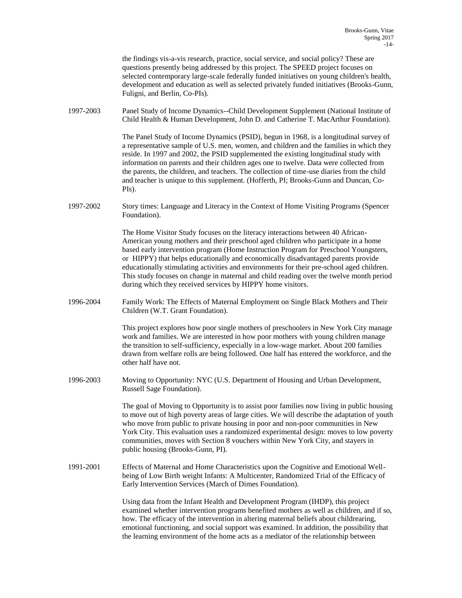|           | the findings vis-a-vis research, practice, social service, and social policy? These are<br>questions presently being addressed by this project. The SPEED project focuses on<br>selected contemporary large-scale federally funded initiatives on young children's health,<br>development and education as well as selected privately funded initiatives (Brooks-Gunn,<br>Fuligni, and Berlin, Co-PIs).                                                                                                                                                                                                   |
|-----------|-----------------------------------------------------------------------------------------------------------------------------------------------------------------------------------------------------------------------------------------------------------------------------------------------------------------------------------------------------------------------------------------------------------------------------------------------------------------------------------------------------------------------------------------------------------------------------------------------------------|
| 1997-2003 | Panel Study of Income Dynamics--Child Development Supplement (National Institute of<br>Child Health & Human Development, John D. and Catherine T. MacArthur Foundation).                                                                                                                                                                                                                                                                                                                                                                                                                                  |
|           | The Panel Study of Income Dynamics (PSID), begun in 1968, is a longitudinal survey of<br>a representative sample of U.S. men, women, and children and the families in which they<br>reside. In 1997 and 2002, the PSID supplemented the existing longitudinal study with<br>information on parents and their children ages one to twelve. Data were collected from<br>the parents, the children, and teachers. The collection of time-use diaries from the child<br>and teacher is unique to this supplement. (Hofferth, PI; Brooks-Gunn and Duncan, Co-<br>PIs).                                         |
| 1997-2002 | Story times: Language and Literacy in the Context of Home Visiting Programs (Spencer<br>Foundation).                                                                                                                                                                                                                                                                                                                                                                                                                                                                                                      |
|           | The Home Visitor Study focuses on the literacy interactions between 40 African-<br>American young mothers and their preschool aged children who participate in a home<br>based early intervention program (Home Instruction Program for Preschool Youngsters,<br>or HIPPY) that helps educationally and economically disadvantaged parents provide<br>educationally stimulating activities and environments for their pre-school aged children.<br>This study focuses on change in maternal and child reading over the twelve month period<br>during which they received services by HIPPY home visitors. |
| 1996-2004 | Family Work: The Effects of Maternal Employment on Single Black Mothers and Their<br>Children (W.T. Grant Foundation).                                                                                                                                                                                                                                                                                                                                                                                                                                                                                    |
|           | This project explores how poor single mothers of preschoolers in New York City manage<br>work and families. We are interested in how poor mothers with young children manage<br>the transition to self-sufficiency, especially in a low-wage market. About 200 families<br>drawn from welfare rolls are being followed. One half has entered the workforce, and the<br>other half have not.                                                                                                                                                                                                               |
| 1996-2003 | Moving to Opportunity: NYC (U.S. Department of Housing and Urban Development,<br>Russell Sage Foundation).                                                                                                                                                                                                                                                                                                                                                                                                                                                                                                |
|           | The goal of Moving to Opportunity is to assist poor families now living in public housing<br>to move out of high poverty areas of large cities. We will describe the adaptation of youth<br>who move from public to private housing in poor and non-poor communities in New<br>York City. This evaluation uses a randomized experimental design: moves to low poverty<br>communities, moves with Section 8 vouchers within New York City, and stayers in<br>public housing (Brooks-Gunn, PI).                                                                                                             |
| 1991-2001 | Effects of Maternal and Home Characteristics upon the Cognitive and Emotional Well-<br>being of Low Birth weight Infants: A Multicenter, Randomized Trial of the Efficacy of<br>Early Intervention Services (March of Dimes Foundation).                                                                                                                                                                                                                                                                                                                                                                  |
|           | Using data from the Infant Health and Development Program (IHDP), this project<br>examined whether intervention programs benefited mothers as well as children, and if so,<br>how. The efficacy of the intervention in altering maternal beliefs about childrearing,<br>emotional functioning, and social support was examined. In addition, the possibility that<br>the learning environment of the home acts as a mediator of the relationship between                                                                                                                                                  |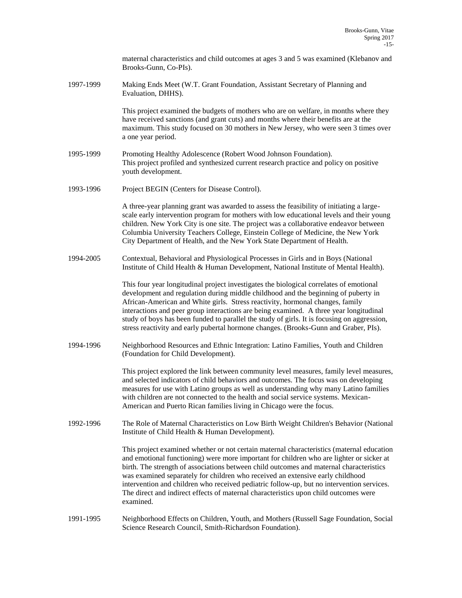|           | maternal characteristics and child outcomes at ages 3 and 5 was examined (Klebanov and<br>Brooks-Gunn, Co-PIs).                                                                                                                                                                                                                                                                                                                                                                                                                                                      |
|-----------|----------------------------------------------------------------------------------------------------------------------------------------------------------------------------------------------------------------------------------------------------------------------------------------------------------------------------------------------------------------------------------------------------------------------------------------------------------------------------------------------------------------------------------------------------------------------|
| 1997-1999 | Making Ends Meet (W.T. Grant Foundation, Assistant Secretary of Planning and<br>Evaluation, DHHS).                                                                                                                                                                                                                                                                                                                                                                                                                                                                   |
|           | This project examined the budgets of mothers who are on welfare, in months where they<br>have received sanctions (and grant cuts) and months where their benefits are at the<br>maximum. This study focused on 30 mothers in New Jersey, who were seen 3 times over<br>a one year period.                                                                                                                                                                                                                                                                            |
| 1995-1999 | Promoting Healthy Adolescence (Robert Wood Johnson Foundation).<br>This project profiled and synthesized current research practice and policy on positive<br>youth development.                                                                                                                                                                                                                                                                                                                                                                                      |
| 1993-1996 | Project BEGIN (Centers for Disease Control).                                                                                                                                                                                                                                                                                                                                                                                                                                                                                                                         |
|           | A three-year planning grant was awarded to assess the feasibility of initiating a large-<br>scale early intervention program for mothers with low educational levels and their young<br>children. New York City is one site. The project was a collaborative endeavor between<br>Columbia University Teachers College, Einstein College of Medicine, the New York<br>City Department of Health, and the New York State Department of Health.                                                                                                                         |
| 1994-2005 | Contextual, Behavioral and Physiological Processes in Girls and in Boys (National<br>Institute of Child Health & Human Development, National Institute of Mental Health).                                                                                                                                                                                                                                                                                                                                                                                            |
|           | This four year longitudinal project investigates the biological correlates of emotional<br>development and regulation during middle childhood and the beginning of puberty in<br>African-American and White girls. Stress reactivity, hormonal changes, family<br>interactions and peer group interactions are being examined. A three year longitudinal<br>study of boys has been funded to parallel the study of girls. It is focusing on aggression,<br>stress reactivity and early pubertal hormone changes. (Brooks-Gunn and Graber, PIs).                      |
| 1994-1996 | Neighborhood Resources and Ethnic Integration: Latino Families, Youth and Children<br>(Foundation for Child Development).                                                                                                                                                                                                                                                                                                                                                                                                                                            |
|           | This project explored the link between community level measures, family level measures,<br>and selected indicators of child behaviors and outcomes. The focus was on developing<br>measures for use with Latino groups as well as understanding why many Latino families<br>with children are not connected to the health and social service systems. Mexican-<br>American and Puerto Rican families living in Chicago were the focus.                                                                                                                               |
| 1992-1996 | The Role of Maternal Characteristics on Low Birth Weight Children's Behavior (National<br>Institute of Child Health & Human Development).                                                                                                                                                                                                                                                                                                                                                                                                                            |
|           | This project examined whether or not certain maternal characteristics (maternal education<br>and emotional functioning) were more important for children who are lighter or sicker at<br>birth. The strength of associations between child outcomes and maternal characteristics<br>was examined separately for children who received an extensive early childhood<br>intervention and children who received pediatric follow-up, but no intervention services.<br>The direct and indirect effects of maternal characteristics upon child outcomes were<br>examined. |
| 1991-1995 | Neighborhood Effects on Children, Youth, and Mothers (Russell Sage Foundation, Social<br>Science Research Council, Smith-Richardson Foundation).                                                                                                                                                                                                                                                                                                                                                                                                                     |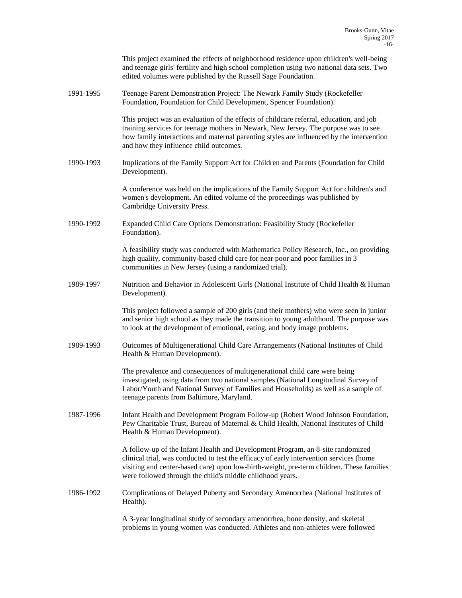|           | This project examined the effects of neighborhood residence upon children's well-being<br>and teenage girls' fertility and high school completion using two national data sets. Two<br>edited volumes were published by the Russell Sage Foundation.                                                                               |
|-----------|------------------------------------------------------------------------------------------------------------------------------------------------------------------------------------------------------------------------------------------------------------------------------------------------------------------------------------|
| 1991-1995 | Teenage Parent Demonstration Project: The Newark Family Study (Rockefeller<br>Foundation, Foundation for Child Development, Spencer Foundation).                                                                                                                                                                                   |
|           | This project was an evaluation of the effects of childcare referral, education, and job<br>training services for teenage mothers in Newark, New Jersey. The purpose was to see<br>how family interactions and maternal parenting styles are influenced by the intervention<br>and how they influence child outcomes.               |
| 1990-1993 | Implications of the Family Support Act for Children and Parents (Foundation for Child<br>Development).                                                                                                                                                                                                                             |
|           | A conference was held on the implications of the Family Support Act for children's and<br>women's development. An edited volume of the proceedings was published by<br>Cambridge University Press.                                                                                                                                 |
| 1990-1992 | Expanded Child Care Options Demonstration: Feasibility Study (Rockefeller<br>Foundation).                                                                                                                                                                                                                                          |
|           | A feasibility study was conducted with Mathematica Policy Research, Inc., on providing<br>high quality, community-based child care for near poor and poor families in 3<br>communities in New Jersey (using a randomized trial).                                                                                                   |
| 1989-1997 | Nutrition and Behavior in Adolescent Girls (National Institute of Child Health & Human<br>Development).                                                                                                                                                                                                                            |
|           | This project followed a sample of 200 girls (and their mothers) who were seen in junior<br>and senior high school as they made the transition to young adulthood. The purpose was<br>to look at the development of emotional, eating, and body image problems.                                                                     |
| 1989-1993 | Outcomes of Multigenerational Child Care Arrangements (National Institutes of Child<br>Health & Human Development).                                                                                                                                                                                                                |
|           | The prevalence and consequences of multigenerational child care were being<br>investigated, using data from two national samples (National Longitudinal Survey of<br>Labor/Youth and National Survey of Families and Households) as well as a sample of<br>teenage parents from Baltimore, Maryland.                               |
| 1987-1996 | Infant Health and Development Program Follow-up (Robert Wood Johnson Foundation,<br>Pew Charitable Trust, Bureau of Maternal & Child Health, National Institutes of Child<br>Health & Human Development).                                                                                                                          |
|           | A follow-up of the Infant Health and Development Program, an 8-site randomized<br>clinical trial, was conducted to test the efficacy of early intervention services (home<br>visiting and center-based care) upon low-birth-weight, pre-term children. These families<br>were followed through the child's middle childhood years. |
| 1986-1992 | Complications of Delayed Puberty and Secondary Amenorrhea (National Institutes of<br>Health).                                                                                                                                                                                                                                      |
|           | A 3-year longitudinal study of secondary amenorrhea, bone density, and skeletal<br>problems in young women was conducted. Athletes and non-athletes were followed                                                                                                                                                                  |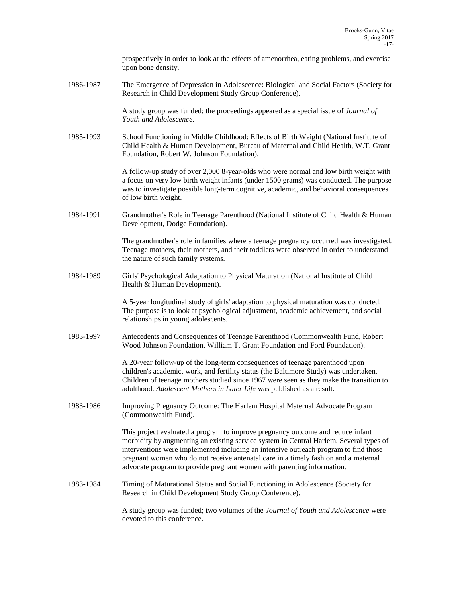|           | prospectively in order to look at the effects of amenorrhea, eating problems, and exercise<br>upon bone density.                                                                                                                                                                                                                                                                                                                   |
|-----------|------------------------------------------------------------------------------------------------------------------------------------------------------------------------------------------------------------------------------------------------------------------------------------------------------------------------------------------------------------------------------------------------------------------------------------|
| 1986-1987 | The Emergence of Depression in Adolescence: Biological and Social Factors (Society for<br>Research in Child Development Study Group Conference).                                                                                                                                                                                                                                                                                   |
|           | A study group was funded; the proceedings appeared as a special issue of <i>Journal of</i><br>Youth and Adolescence.                                                                                                                                                                                                                                                                                                               |
| 1985-1993 | School Functioning in Middle Childhood: Effects of Birth Weight (National Institute of<br>Child Health & Human Development, Bureau of Maternal and Child Health, W.T. Grant<br>Foundation, Robert W. Johnson Foundation).                                                                                                                                                                                                          |
|           | A follow-up study of over 2,000 8-year-olds who were normal and low birth weight with<br>a focus on very low birth weight infants (under 1500 grams) was conducted. The purpose<br>was to investigate possible long-term cognitive, academic, and behavioral consequences<br>of low birth weight.                                                                                                                                  |
| 1984-1991 | Grandmother's Role in Teenage Parenthood (National Institute of Child Health & Human<br>Development, Dodge Foundation).                                                                                                                                                                                                                                                                                                            |
|           | The grandmother's role in families where a teenage pregnancy occurred was investigated.<br>Teenage mothers, their mothers, and their toddlers were observed in order to understand<br>the nature of such family systems.                                                                                                                                                                                                           |
| 1984-1989 | Girls' Psychological Adaptation to Physical Maturation (National Institute of Child<br>Health & Human Development).                                                                                                                                                                                                                                                                                                                |
|           | A 5-year longitudinal study of girls' adaptation to physical maturation was conducted.<br>The purpose is to look at psychological adjustment, academic achievement, and social<br>relationships in young adolescents.                                                                                                                                                                                                              |
| 1983-1997 | Antecedents and Consequences of Teenage Parenthood (Commonwealth Fund, Robert<br>Wood Johnson Foundation, William T. Grant Foundation and Ford Foundation).                                                                                                                                                                                                                                                                        |
|           | A 20-year follow-up of the long-term consequences of teenage parenthood upon<br>children's academic, work, and fertility status (the Baltimore Study) was undertaken.<br>Children of teenage mothers studied since 1967 were seen as they make the transition to<br>adulthood. Adolescent Mothers in Later Life was published as a result.                                                                                         |
| 1983-1986 | Improving Pregnancy Outcome: The Harlem Hospital Maternal Advocate Program<br>(Commonwealth Fund).                                                                                                                                                                                                                                                                                                                                 |
|           | This project evaluated a program to improve pregnancy outcome and reduce infant<br>morbidity by augmenting an existing service system in Central Harlem. Several types of<br>interventions were implemented including an intensive outreach program to find those<br>pregnant women who do not receive antenatal care in a timely fashion and a maternal<br>advocate program to provide pregnant women with parenting information. |
| 1983-1984 | Timing of Maturational Status and Social Functioning in Adolescence (Society for<br>Research in Child Development Study Group Conference).                                                                                                                                                                                                                                                                                         |
|           | A study group was funded; two volumes of the Journal of Youth and Adolescence were<br>devoted to this conference.                                                                                                                                                                                                                                                                                                                  |